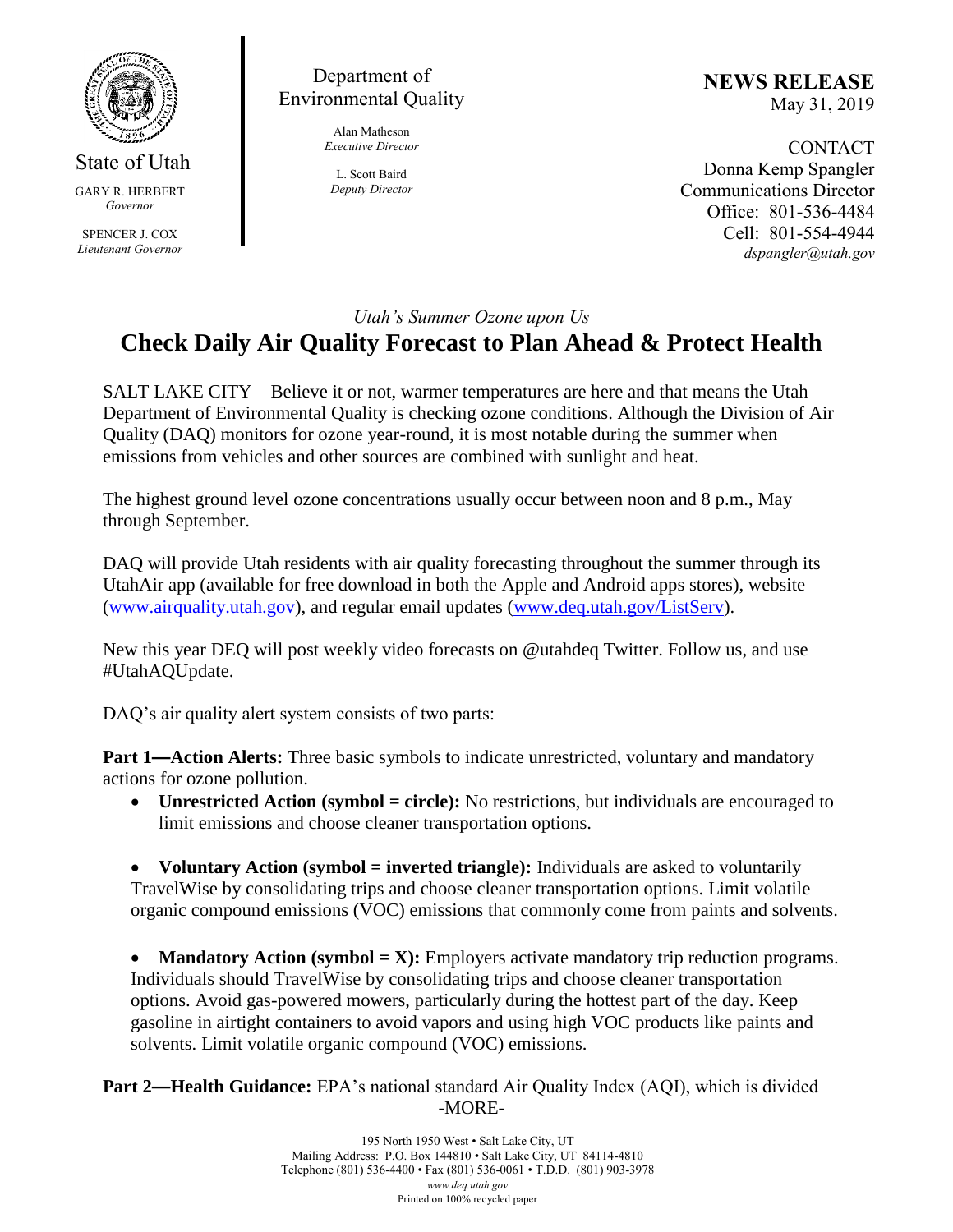

State of Utah GARY R. HERBERT *Governor* SPENCER J. COX *Lieutenant Governor*

Department of Environmental Quality

> Alan Matheson *Executive Director*

L. Scott Baird *Deputy Director* **NEWS RELEASE** May 31, 2019

**CONTACT** Donna Kemp Spangler Communications Director Office: 801-536-4484 Cell: 801-554-4944 *dspangler@utah.gov*

## *Utah's Summer Ozone upon Us*

## **Check Daily Air Quality Forecast to Plan Ahead & Protect Health**

SALT LAKE CITY – Believe it or not, warmer temperatures are here and that means the Utah Department of Environmental Quality is checking ozone conditions. Although the Division of Air Quality (DAQ) monitors for ozone year-round, it is most notable during the summer when emissions from vehicles and other sources are combined with sunlight and heat.

The highest ground level ozone concentrations usually occur between noon and 8 p.m., May through September.

DAQ will provide Utah residents with air quality forecasting throughout the summer through its UtahAir app (available for free download in both the Apple and Android apps stores), website (www.airquality.utah.gov), and regular email updates [\(www.deq.utah.gov/ListServ\)](http://www.deq.utah.gov/ListServ).

New this year DEQ will post weekly video forecasts on @utahdeq Twitter. Follow us, and use #UtahAQUpdate.

DAQ's air quality alert system consists of two parts:

**Part 1—Action Alerts:** Three basic symbols to indicate unrestricted, voluntary and mandatory actions for ozone pollution.

• Unrestricted Action (symbol = circle): No restrictions, but individuals are encouraged to limit emissions and choose cleaner transportation options.

• **Voluntary Action (symbol = inverted triangle):** Individuals are asked to voluntarily TravelWise by consolidating trips and choose cleaner transportation options. Limit volatile organic compound emissions (VOC) emissions that commonly come from paints and solvents.

• **Mandatory Action (symbol = X):** Employers activate mandatory trip reduction programs. Individuals should TravelWise by consolidating trips and choose cleaner transportation options. Avoid gas-powered mowers, particularly during the hottest part of the day. Keep gasoline in airtight containers to avoid vapors and using high VOC products like paints and solvents. Limit volatile organic compound (VOC) emissions.

**Part 2—Health Guidance:** EPA's national standard Air Quality Index (AQI), which is divided -MORE-